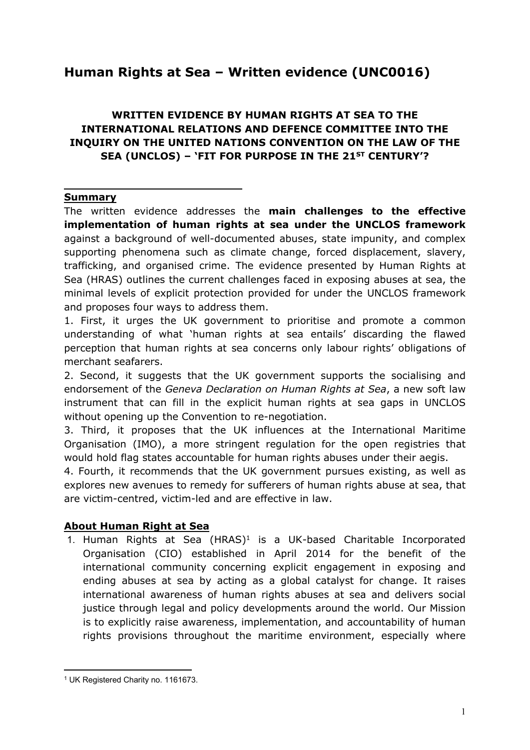# **Human Rights at Sea – Written evidence (UNC0016)**

# **WRITTEN EVIDENCE BY HUMAN RIGHTS AT SEA TO THE INTERNATIONAL RELATIONS AND DEFENCE COMMITTEE INTO THE INQUIRY ON THE UNITED NATIONS CONVENTION ON THE LAW OF THE SEA (UNCLOS) – 'FIT FOR PURPOSE IN THE 21ST CENTURY'?**

#### **Summary**

The written evidence addresses the **main challenges to the effective implementation of human rights at sea under the UNCLOS framework** against a background of well-documented abuses, state impunity, and complex supporting phenomena such as climate change, forced displacement, slavery, trafficking, and organised crime. The evidence presented by Human Rights at Sea (HRAS) outlines the current challenges faced in exposing abuses at sea, the minimal levels of explicit protection provided for under the UNCLOS framework and proposes four ways to address them.

1. First, it urges the UK government to prioritise and promote a common understanding of what 'human rights at sea entails' discarding the flawed perception that human rights at sea concerns only labour rights' obligations of merchant seafarers.

2. Second, it suggests that the UK government supports the socialising and endorsement of the *Geneva Declaration on Human Rights at Sea*, a new soft law instrument that can fill in the explicit human rights at sea gaps in UNCLOS without opening up the Convention to re-negotiation.

3. Third, it proposes that the UK influences at the International Maritime Organisation (IMO), a more stringent regulation for the open registries that would hold flag states accountable for human rights abuses under their aegis.

4. Fourth, it recommends that the UK government pursues existing, as well as explores new avenues to remedy for sufferers of human rights abuse at sea, that are victim-centred, victim-led and are effective in law.

#### **About Human Right at Sea**

1. Human Rights at Sea (HRAS)<sup>1</sup> is a UK-based Charitable Incorporated Organisation (CIO) established in April 2014 for the benefit of the international community concerning explicit engagement in exposing and ending abuses at sea by acting as a global catalyst for change. It raises international awareness of human rights abuses at sea and delivers social justice through legal and policy developments around the world. Our Mission is to explicitly raise awareness, implementation, and accountability of human rights provisions throughout the maritime environment, especially where

<sup>1</sup> UK Registered Charity no. 1161673.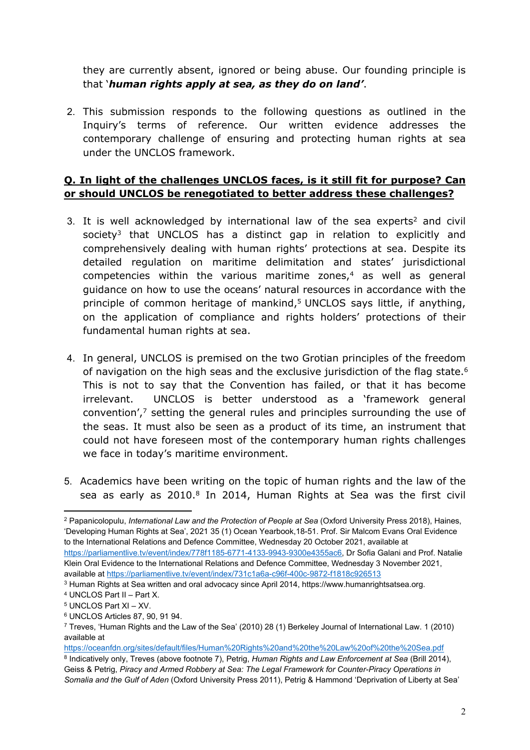they are currently absent, ignored or being abuse. Our founding principle is that '*human rights apply at sea, as they do on land'*.

2. This submission responds to the following questions as outlined in the Inquiry's terms of reference. Our written evidence addresses the contemporary challenge of ensuring and protecting human rights at sea under the UNCLOS framework.

## **Q. In light of the challenges UNCLOS faces, is it still fit for purpose? Can or should UNCLOS be renegotiated to better address these challenges?**

- 3. It is well acknowledged by international law of the sea experts<sup>2</sup> and civil society<sup>3</sup> that UNCLOS has a distinct gap in relation to explicitly and comprehensively dealing with human rights' protections at sea. Despite its detailed regulation on maritime delimitation and states' jurisdictional competencies within the various maritime zones, $4$  as well as general guidance on how to use the oceans' natural resources in accordance with the principle of common heritage of mankind,<sup>5</sup> UNCLOS says little, if anything, on the application of compliance and rights holders' protections of their fundamental human rights at sea.
- 4. In general, UNCLOS is premised on the two Grotian principles of the freedom of navigation on the high seas and the exclusive jurisdiction of the flag state.<sup>6</sup> This is not to say that the Convention has failed, or that it has become irrelevant. UNCLOS is better understood as a 'framework general convention',<sup>7</sup> setting the general rules and principles surrounding the use of the seas. It must also be seen as a product of its time, an instrument that could not have foreseen most of the contemporary human rights challenges we face in today's maritime environment.
- 5. Academics have been writing on the topic of human rights and the law of the sea as early as 2010.<sup>8</sup> In 2014, Human Rights at Sea was the first civil

<sup>2</sup> Papanicolopulu, *International Law and the Protection of People at Sea* (Oxford University Press 2018), Haines, 'Developing Human Rights at Sea', 2021 35 (1) Ocean Yearbook,18-51. Prof. Sir Malcom Evans Oral Evidence to the International Relations and Defence Committee, Wednesday 20 October 2021, available at <https://parliamentlive.tv/event/index/778f1185-6771-4133-9943-9300e4355ac6>, Dr Sofia Galani and Prof. Natalie

Klein Oral Evidence to the International Relations and Defence Committee, Wednesday 3 November 2021, available at <https://parliamentlive.tv/event/index/731c1a6a-c96f-400c-9872-f1818c926513>

<sup>3</sup> Human Rights at Sea written and oral advocacy since April 2014, https://www.humanrightsatsea.org.

<sup>4</sup> UNCLOS Part II – Part X.

<sup>5</sup> UNCLOS Part XI – XV.

<sup>6</sup> UNCLOS Articles 87, 90, 91 94.

<sup>7</sup> Treves, 'Human Rights and the Law of the Sea' (2010) 28 (1) Berkeley Journal of International Law. 1 (2010) available at

<https://oceanfdn.org/sites/default/files/Human%20Rights%20and%20the%20Law%20of%20the%20Sea.pdf>

<sup>8</sup> Indicatively only, Treves (above footnote 7), Petrig, *Human Rights and Law Enforcement at Sea* (Brill 2014), Geiss & Petrig, *Piracy and Armed Robbery at Sea: The Legal Framework for Counter-Piracy Operations in Somalia and the Gulf of Aden* (Oxford University Press 2011), Petrig & Hammond 'Deprivation of Liberty at Sea'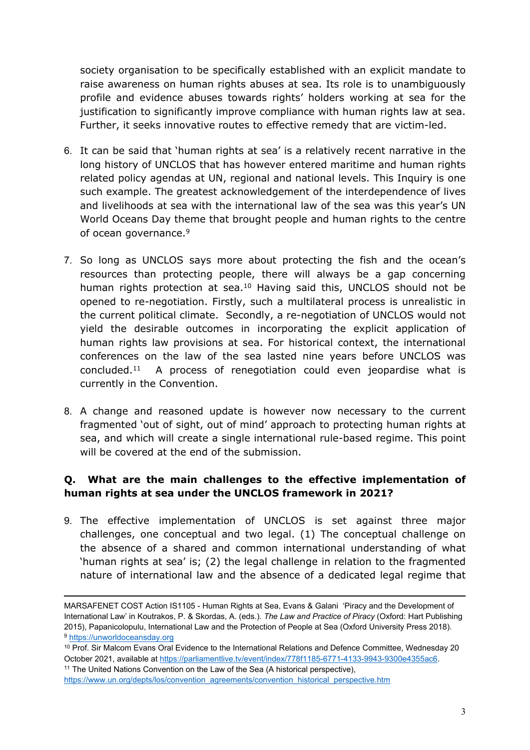society organisation to be specifically established with an explicit mandate to raise awareness on human rights abuses at sea. Its role is to unambiguously profile and evidence abuses towards rights' holders working at sea for the justification to significantly improve compliance with human rights law at sea. Further, it seeks innovative routes to effective remedy that are victim-led.

- 6. It can be said that 'human rights at sea' is a relatively recent narrative in the long history of UNCLOS that has however entered maritime and human rights related policy agendas at UN, regional and national levels. This Inquiry is one such example. The greatest acknowledgement of the interdependence of lives and livelihoods at sea with the international law of the sea was this year's UN World Oceans Day theme that brought people and human rights to the centre of ocean governance.<sup>9</sup>
- 7. So long as UNCLOS says more about protecting the fish and the ocean's resources than protecting people, there will always be a gap concerning human rights protection at sea.<sup>10</sup> Having said this, UNCLOS should not be opened to re-negotiation. Firstly, such a multilateral process is unrealistic in the current political climate. Secondly, a re-negotiation of UNCLOS would not yield the desirable outcomes in incorporating the explicit application of human rights law provisions at sea. For historical context, the international conferences on the law of the sea lasted nine years before UNCLOS was concluded.<sup>11</sup> A process of renegotiation could even jeopardise what is currently in the Convention.
- 8. A change and reasoned update is however now necessary to the current fragmented 'out of sight, out of mind' approach to protecting human rights at sea, and which will create a single international rule-based regime. This point will be covered at the end of the submission.

# **Q. What are the main challenges to the effective implementation of human rights at sea under the UNCLOS framework in 2021?**

9. The effective implementation of UNCLOS is set against three major challenges, one conceptual and two legal. (1) The conceptual challenge on the absence of a shared and common international understanding of what 'human rights at sea' is; (2) the legal challenge in relation to the fragmented nature of international law and the absence of a dedicated legal regime that

[https://www.un.org/depts/los/convention\\_agreements/convention\\_historical\\_perspective.htm](https://www.un.org/depts/los/convention_agreements/convention_historical_perspective.htm)

MARSAFENET COST Action IS1105 - Human Rights at Sea, Evans & Galani 'Piracy and the Development of International Law' in Koutrakos, P. & Skordas, A. (eds.). *The Law and Practice of Piracy* (Oxford: Hart Publishing 2015), Papanicolopulu, International Law and the Protection of People at Sea (Oxford University Press 2018). <sup>9</sup> [https://unworldoceansday.org](https://unworldoceansday.org/)

<sup>&</sup>lt;sup>10</sup> Prof. Sir Malcom Evans Oral Evidence to the International Relations and Defence Committee, Wednesday 20 October 2021, available at [https://parliamentlive.tv/event/index/778f1185-6771-4133-9943-9300e4355ac6.](https://parliamentlive.tv/event/index/778f1185-6771-4133-9943-9300e4355ac6) <sup>11</sup> The United Nations Convention on the Law of the Sea (A historical perspective),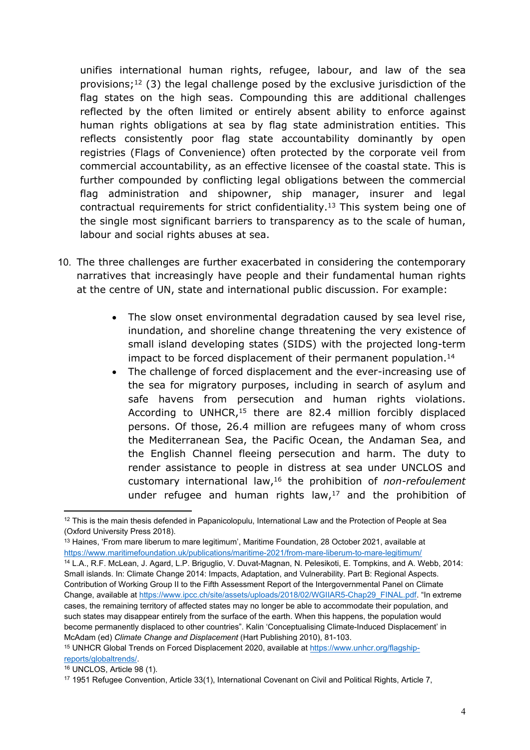unifies international human rights, refugee, labour, and law of the sea provisions;<sup>12</sup> (3) the legal challenge posed by the exclusive jurisdiction of the flag states on the high seas. Compounding this are additional challenges reflected by the often limited or entirely absent ability to enforce against human rights obligations at sea by flag state administration entities. This reflects consistently poor flag state accountability dominantly by open registries (Flags of Convenience) often protected by the corporate veil from commercial accountability, as an effective licensee of the coastal state. This is further compounded by conflicting legal obligations between the commercial flag administration and shipowner, ship manager, insurer and legal contractual requirements for strict confidentiality.<sup>13</sup> This system being one of the single most significant barriers to transparency as to the scale of human, labour and social rights abuses at sea.

- 10. The three challenges are further exacerbated in considering the contemporary narratives that increasingly have people and their fundamental human rights at the centre of UN, state and international public discussion. For example:
	- The slow onset environmental degradation caused by sea level rise, inundation, and shoreline change threatening the very existence of small island developing states (SIDS) with the projected long-term impact to be forced displacement of their permanent population.<sup>14</sup>
	- The challenge of forced displacement and the ever-increasing use of the sea for migratory purposes, including in search of asylum and safe havens from persecution and human rights violations. According to UNHCR,<sup>15</sup> there are 82.4 million forcibly displaced persons. Of those, 26.4 million are refugees many of whom cross the Mediterranean Sea, the Pacific Ocean, the Andaman Sea, and the English Channel fleeing persecution and harm. The duty to render assistance to people in distress at sea under UNCLOS and customary international law,<sup>16</sup> the prohibition of *non-refoulement* under refugee and human rights law, $17$  and the prohibition of

<sup>15</sup> UNHCR Global Trends on Forced Displacement 2020, available at [https://www.unhcr.org/flagship](https://www.unhcr.org/flagship-reports/globaltrends/)[reports/globaltrends/.](https://www.unhcr.org/flagship-reports/globaltrends/)

<sup>&</sup>lt;sup>12</sup> This is the main thesis defended in Papanicolopulu, International Law and the Protection of People at Sea (Oxford University Press 2018).

<sup>13</sup> Haines, 'From mare liberum to mare legitimum', Maritime Foundation, 28 October 2021, available at <https://www.maritimefoundation.uk/publications/maritime-2021/from-mare-liberum-to-mare-legitimum/> <sup>14</sup> L.A., R.F. McLean, J. Agard, L.P. Briguglio, V. Duvat-Magnan, N. Pelesikoti, E. Tompkins, and A. Webb, 2014: Small islands. In: Climate Change 2014: Impacts, Adaptation, and Vulnerability. Part B: Regional Aspects. Contribution of Working Group II to the Fifth Assessment Report of the Intergovernmental Panel on Climate Change, available at [https://www.ipcc.ch/site/assets/uploads/2018/02/WGIIAR5-Chap29\\_FINAL.pdf](https://www.ipcc.ch/site/assets/uploads/2018/02/WGIIAR5-Chap29_FINAL.pdf). "In extreme cases, the remaining territory of affected states may no longer be able to accommodate their population, and such states may disappear entirely from the surface of the earth. When this happens, the population would become permanently displaced to other countries". Kalin 'Conceptualising Climate-Induced Displacement' in McAdam (ed) *Climate Change and Displacement* (Hart Publishing 2010), 81-103.

<sup>16</sup> UNCLOS, Article 98 (1).

<sup>&</sup>lt;sup>17</sup> 1951 Refugee Convention, Article 33(1), International Covenant on Civil and Political Rights, Article 7,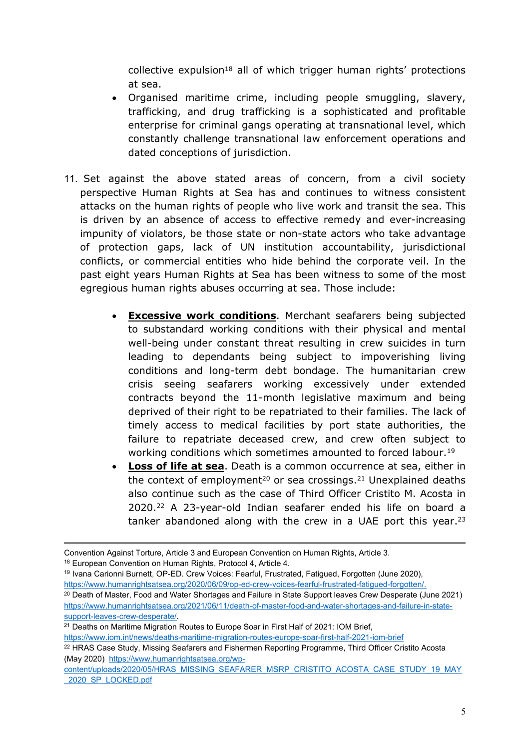collective expulsion<sup>18</sup> all of which trigger human rights' protections at sea.

- Organised maritime crime, including people smuggling, slavery, trafficking, and drug trafficking is a sophisticated and profitable enterprise for criminal gangs operating at transnational level, which constantly challenge transnational law enforcement operations and dated conceptions of jurisdiction.
- 11. Set against the above stated areas of concern, from a civil society perspective Human Rights at Sea has and continues to witness consistent attacks on the human rights of people who live work and transit the sea. This is driven by an absence of access to effective remedy and ever-increasing impunity of violators, be those state or non-state actors who take advantage of protection gaps, lack of UN institution accountability, jurisdictional conflicts, or commercial entities who hide behind the corporate veil. In the past eight years Human Rights at Sea has been witness to some of the most egregious human rights abuses occurring at sea. Those include:
	- **Excessive work conditions**. Merchant seafarers being subjected to substandard working conditions with their physical and mental well-being under constant threat resulting in crew suicides in turn leading to dependants being subject to impoverishing living conditions and long-term debt bondage. The humanitarian crew crisis seeing seafarers working excessively under extended contracts beyond the 11-month legislative maximum and being deprived of their right to be repatriated to their families. The lack of timely access to medical facilities by port state authorities, the failure to repatriate deceased crew, and crew often subject to working conditions which sometimes amounted to forced labour.<sup>19</sup>
	- **Loss of life at sea**. Death is a common occurrence at sea, either in the context of employment<sup>20</sup> or sea crossings.<sup>21</sup> Unexplained deaths also continue such as the case of Third Officer Cristito M. Acosta in 2020.<sup>22</sup> A 23-year-old Indian seafarer ended his life on board a tanker abandoned along with the crew in a UAE port this year.<sup>23</sup>

<sup>19</sup> Ivana Carionni Burnett, OP-ED. Crew Voices: Fearful, Frustrated, Fatigued, Forgotten (June 2020), [https://www.humanrightsatsea.org/2020/06/09/op-ed-crew-voices-fearful-frustrated-fatigued-forgotten/.](https://www.humanrightsatsea.org/2020/06/09/op-ed-crew-voices-fearful-frustrated-fatigued-forgotten/)

<https://www.iom.int/news/deaths-maritime-migration-routes-europe-soar-first-half-2021-iom-brief>

<sup>22</sup> HRAS Case Study, Missing Seafarers and Fishermen Reporting Programme, Third Officer Cristito Acosta (May 2020) [https://www.humanrightsatsea.org/wp-](https://www.humanrightsatsea.org/wp-content/uploads/2020/05/HRAS_MISSING_SEAFARER_MSRP_CRISTITO_ACOSTA_CASE_STUDY_19_MAY_2020_SP_LOCKED.pdf)

Convention Against Torture, Article 3 and European Convention on Human Rights, Article 3.

<sup>18</sup> European Convention on Human Rights, Protocol 4, Article 4.

<sup>&</sup>lt;sup>20</sup> Death of Master, Food and Water Shortages and Failure in State Support leaves Crew Desperate (June 2021) [https://www.humanrightsatsea.org/2021/06/11/death-of-master-food-and-water-shortages-and-failure-in-state](https://www.humanrightsatsea.org/2021/06/11/death-of-master-food-and-water-shortages-and-failure-in-state-support-leaves-crew-desperate/)[support-leaves-crew-desperate/.](https://www.humanrightsatsea.org/2021/06/11/death-of-master-food-and-water-shortages-and-failure-in-state-support-leaves-crew-desperate/)

<sup>&</sup>lt;sup>21</sup> Deaths on Maritime Migration Routes to Europe Soar in First Half of 2021: IOM Brief,

[content/uploads/2020/05/HRAS\\_MISSING\\_SEAFARER\\_MSRP\\_CRISTITO\\_ACOSTA\\_CASE\\_STUDY\\_19\\_MAY](https://www.humanrightsatsea.org/wp-content/uploads/2020/05/HRAS_MISSING_SEAFARER_MSRP_CRISTITO_ACOSTA_CASE_STUDY_19_MAY_2020_SP_LOCKED.pdf) [\\_2020\\_SP\\_LOCKED.pdf](https://www.humanrightsatsea.org/wp-content/uploads/2020/05/HRAS_MISSING_SEAFARER_MSRP_CRISTITO_ACOSTA_CASE_STUDY_19_MAY_2020_SP_LOCKED.pdf)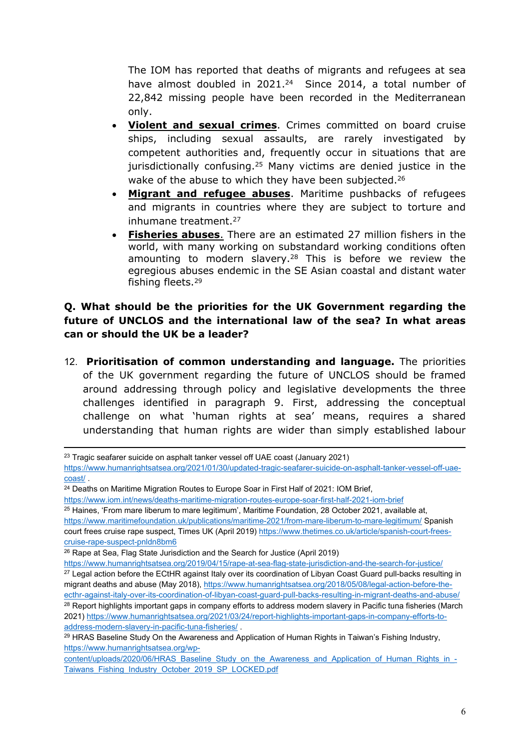The IOM has reported that deaths of migrants and refugees at sea have almost doubled in 2021.<sup>24</sup> Since 2014, a total number of 22,842 missing people have been recorded in the Mediterranean only.

- **Violent and sexual crimes**. Crimes committed on board cruise ships, including sexual assaults, are rarely investigated by competent authorities and, frequently occur in situations that are jurisdictionally confusing.<sup>25</sup> Many victims are denied justice in the wake of the abuse to which they have been subjected.<sup>26</sup>
- **Migrant and refugee abuses**. Maritime pushbacks of refugees and migrants in countries where they are subject to torture and inhumane treatment.<sup>27</sup>
- **Fisheries abuses**. There are an estimated 27 million fishers in the world, with many working on substandard working conditions often amounting to modern slavery.<sup>28</sup> This is before we review the egregious abuses endemic in the SE Asian coastal and distant water fishing fleets.<sup>29</sup>

# **Q. What should be the priorities for the UK Government regarding the future of UNCLOS and the international law of the sea? In what areas can or should the UK be a leader?**

12. **Prioritisation of common understanding and language.** The priorities of the UK government regarding the future of UNCLOS should be framed around addressing through policy and legislative developments the three challenges identified in paragraph 9. First, addressing the conceptual challenge on what 'human rights at sea' means, requires a shared understanding that human rights are wider than simply established labour

<sup>25</sup> Haines, 'From mare liberum to mare legitimum', Maritime Foundation, 28 October 2021, available at, <https://www.maritimefoundation.uk/publications/maritime-2021/from-mare-liberum-to-mare-legitimum/> Spanish court frees cruise rape suspect, Times UK (April 2019) [https://www.thetimes.co.uk/article/spanish-court-frees](https://www.thetimes.co.uk/article/spanish-court-frees-cruise-rape-suspect-pnldn8bm6)[cruise-rape-suspect-pnldn8bm6](https://www.thetimes.co.uk/article/spanish-court-frees-cruise-rape-suspect-pnldn8bm6)

<sup>&</sup>lt;sup>23</sup> Tragic seafarer suicide on asphalt tanker vessel off UAE coast (January 2021)

[https://www.humanrightsatsea.org/2021/01/30/updated-tragic-seafarer-suicide-on-asphalt-tanker-vessel-off-uae](https://www.humanrightsatsea.org/2021/01/30/updated-tragic-seafarer-suicide-on-asphalt-tanker-vessel-off-uae-coast/)[coast/](https://www.humanrightsatsea.org/2021/01/30/updated-tragic-seafarer-suicide-on-asphalt-tanker-vessel-off-uae-coast/) .

<sup>&</sup>lt;sup>24</sup> Deaths on Maritime Migration Routes to Europe Soar in First Half of 2021: IOM Brief,

<https://www.iom.int/news/deaths-maritime-migration-routes-europe-soar-first-half-2021-iom-brief>

<sup>&</sup>lt;sup>26</sup> Rape at Sea. Flag State Jurisdiction and the Search for Justice (April 2019)

<https://www.humanrightsatsea.org/2019/04/15/rape-at-sea-flag-state-jurisdiction-and-the-search-for-justice/> <sup>27</sup> Legal action before the ECtHR against Italy over its coordination of Libyan Coast Guard pull-backs resulting in migrant deaths and abuse (May 2018), [https://www.humanrightsatsea.org/2018/05/08/legal-action-before-the](https://www.humanrightsatsea.org/2018/05/08/legal-action-before-the-ecthr-against-italy-over-its-coordination-of-libyan-coast-guard-pull-backs-resulting-in-migrant-deaths-and-abuse/)[ecthr-against-italy-over-its-coordination-of-libyan-coast-guard-pull-backs-resulting-in-migrant-deaths-and-abuse/](https://www.humanrightsatsea.org/2018/05/08/legal-action-before-the-ecthr-against-italy-over-its-coordination-of-libyan-coast-guard-pull-backs-resulting-in-migrant-deaths-and-abuse/) <sup>28</sup> Report highlights important gaps in company efforts to address modern slavery in Pacific tuna fisheries (March 2021) [https://www.humanrightsatsea.org/2021/03/24/report-highlights-important-gaps-in-company-efforts-to](https://www.humanrightsatsea.org/2021/03/24/report-highlights-important-gaps-in-company-efforts-to-address-modern-slavery-in-pacific-tuna-fisheries/)[address-modern-slavery-in-pacific-tuna-fisheries/](https://www.humanrightsatsea.org/2021/03/24/report-highlights-important-gaps-in-company-efforts-to-address-modern-slavery-in-pacific-tuna-fisheries/) .

<sup>&</sup>lt;sup>29</sup> HRAS Baseline Study On the Awareness and Application of Human Rights in Taiwan's Fishing Industry, [https://www.humanrightsatsea.org/wp-](https://www.humanrightsatsea.org/wp-content/uploads/2020/06/HRAS_Baseline_Study_on_the_Awareness_and_Application_of_Human_Rights_in_-Taiwans_Fishing_Industry_October_2019_SP_LOCKED.pdf)

[content/uploads/2020/06/HRAS\\_Baseline\\_Study\\_on\\_the\\_Awareness\\_and\\_Application\\_of\\_Human\\_Rights\\_in\\_-](https://www.humanrightsatsea.org/wp-content/uploads/2020/06/HRAS_Baseline_Study_on_the_Awareness_and_Application_of_Human_Rights_in_-Taiwans_Fishing_Industry_October_2019_SP_LOCKED.pdf) [Taiwans\\_Fishing\\_Industry\\_October\\_2019\\_SP\\_LOCKED.pdf](https://www.humanrightsatsea.org/wp-content/uploads/2020/06/HRAS_Baseline_Study_on_the_Awareness_and_Application_of_Human_Rights_in_-Taiwans_Fishing_Industry_October_2019_SP_LOCKED.pdf)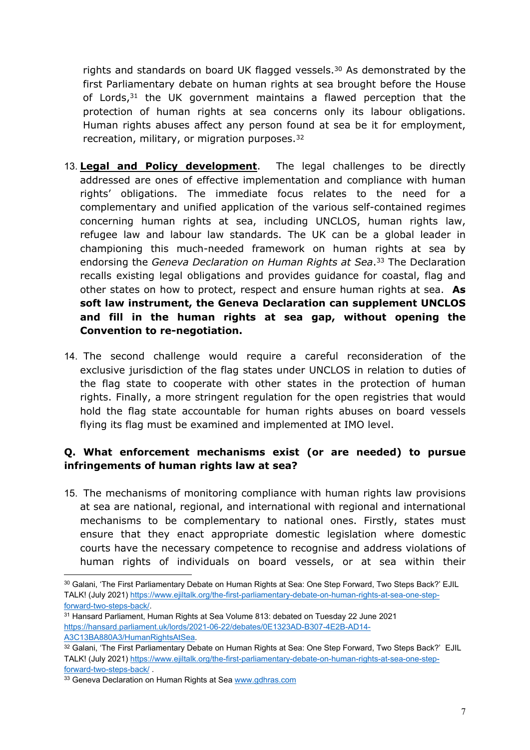rights and standards on board UK flagged vessels.<sup>30</sup> As demonstrated by the first Parliamentary debate on human rights at sea brought before the House of Lords, $31$  the UK government maintains a flawed perception that the protection of human rights at sea concerns only its labour obligations. Human rights abuses affect any person found at sea be it for employment, recreation, military, or migration purposes.<sup>32</sup>

- 13. **Legal and Policy development**. The legal challenges to be directly addressed are ones of effective implementation and compliance with human rights' obligations. The immediate focus relates to the need for a complementary and unified application of the various self-contained regimes concerning human rights at sea, including UNCLOS, human rights law, refugee law and labour law standards. The UK can be a global leader in championing this much-needed framework on human rights at sea by endorsing the *Geneva Declaration on Human Rights at Sea*. <sup>33</sup> The Declaration recalls existing legal obligations and provides guidance for coastal, flag and other states on how to protect, respect and ensure human rights at sea. **As soft law instrument, the Geneva Declaration can supplement UNCLOS and fill in the human rights at sea gap, without opening the Convention to re-negotiation.**
- 14. The second challenge would require a careful reconsideration of the exclusive jurisdiction of the flag states under UNCLOS in relation to duties of the flag state to cooperate with other states in the protection of human rights. Finally, a more stringent regulation for the open registries that would hold the flag state accountable for human rights abuses on board vessels flying its flag must be examined and implemented at IMO level.

# **Q. What enforcement mechanisms exist (or are needed) to pursue infringements of human rights law at sea?**

15. The mechanisms of monitoring compliance with human rights law provisions at sea are national, regional, and international with regional and international mechanisms to be complementary to national ones. Firstly, states must ensure that they enact appropriate domestic legislation where domestic courts have the necessary competence to recognise and address violations of human rights of individuals on board vessels, or at sea within their

<sup>30</sup> Galani, 'The First Parliamentary Debate on Human Rights at Sea: One Step Forward, Two Steps Back?' EJIL TALK! (July 2021) [https://www.ejiltalk.org/the-first-parliamentary-debate-on-human-rights-at-sea-one-step](https://www.ejiltalk.org/the-first-parliamentary-debate-on-human-rights-at-sea-one-step-forward-two-steps-back/)[forward-two-steps-back/.](https://www.ejiltalk.org/the-first-parliamentary-debate-on-human-rights-at-sea-one-step-forward-two-steps-back/)

<sup>31</sup> Hansard Parliament, Human Rights at Sea Volume 813: debated on Tuesday 22 June 2021 [https://hansard.parliament.uk/lords/2021-06-22/debates/0E1323AD-B307-4E2B-AD14-](https://hansard.parliament.uk/lords/2021-06-22/debates/0E1323AD-B307-4E2B-AD14-A3C13BA880A3/HumanRightsAtSea) [A3C13BA880A3/HumanRightsAtSea.](https://hansard.parliament.uk/lords/2021-06-22/debates/0E1323AD-B307-4E2B-AD14-A3C13BA880A3/HumanRightsAtSea)

<sup>32</sup> Galani, 'The First Parliamentary Debate on Human Rights at Sea: One Step Forward, Two Steps Back?' EJIL TALK! (July 2021) [https://www.ejiltalk.org/the-first-parliamentary-debate-on-human-rights-at-sea-one-step](https://www.ejiltalk.org/the-first-parliamentary-debate-on-human-rights-at-sea-one-step-forward-two-steps-back/)[forward-two-steps-back/](https://www.ejiltalk.org/the-first-parliamentary-debate-on-human-rights-at-sea-one-step-forward-two-steps-back/) .

<sup>&</sup>lt;sup>33</sup> Geneva Declaration on Human Rights at Sea [www.gdhras.com](http://www.gdhras.com/)